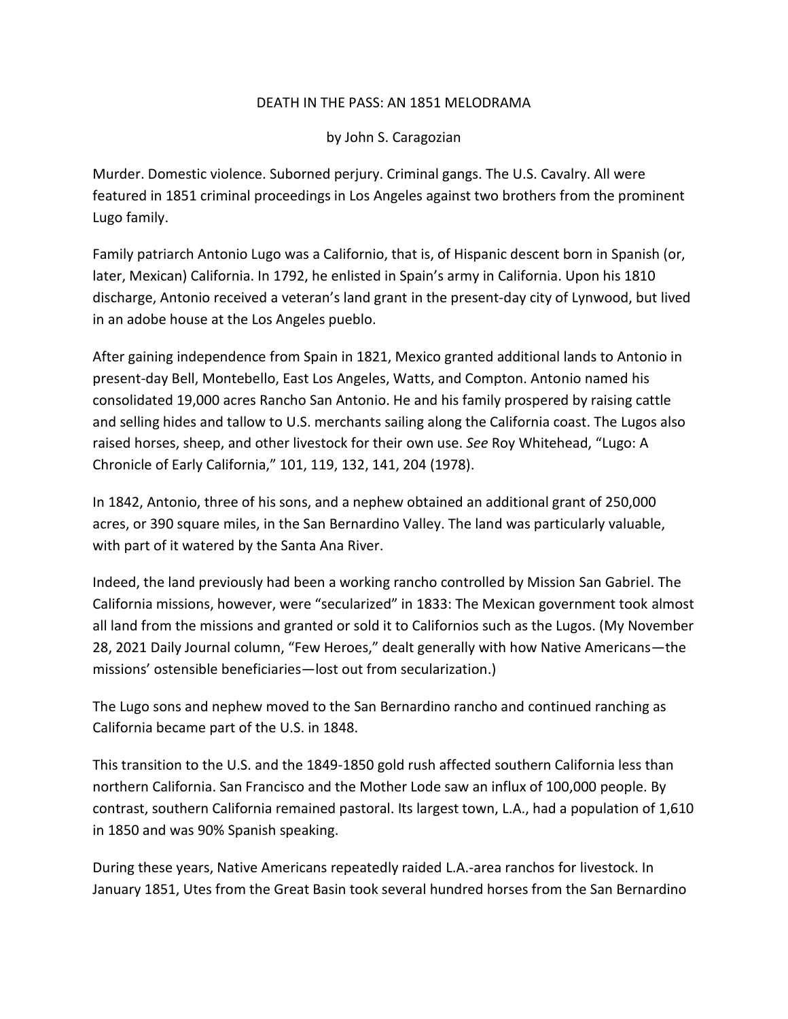## DEATH IN THE PASS: AN 1851 MELODRAMA

by John S. Caragozian

Murder. Domestic violence. Suborned perjury. Criminal gangs. The U.S. Cavalry. All were featured in 1851 criminal proceedings in Los Angeles against two brothers from the prominent Lugo family.

Family patriarch Antonio Lugo was a Californio, that is, of Hispanic descent born in Spanish (or, later, Mexican) California. In 1792, he enlisted in Spain's army in California. Upon his 1810 discharge, Antonio received a veteran's land grant in the present-day city of Lynwood, but lived in an adobe house at the Los Angeles pueblo.

After gaining independence from Spain in 1821, Mexico granted additional lands to Antonio in present-day Bell, Montebello, East Los Angeles, Watts, and Compton. Antonio named his consolidated 19,000 acres Rancho San Antonio. He and his family prospered by raising cattle and selling hides and tallow to U.S. merchants sailing along the California coast. The Lugos also raised horses, sheep, and other livestock for their own use. *See* Roy Whitehead, "Lugo: A Chronicle of Early California," 101, 119, 132, 141, 204 (1978).

In 1842, Antonio, three of his sons, and a nephew obtained an additional grant of 250,000 acres, or 390 square miles, in the San Bernardino Valley. The land was particularly valuable, with part of it watered by the Santa Ana River.

Indeed, the land previously had been a working rancho controlled by Mission San Gabriel. The California missions, however, were "secularized" in 1833: The Mexican government took almost all land from the missions and granted or sold it to Californios such as the Lugos. (My November 28, 2021 Daily Journal column, "Few Heroes," dealt generally with how Native Americans—the missions' ostensible beneficiaries—lost out from secularization.)

The Lugo sons and nephew moved to the San Bernardino rancho and continued ranching as California became part of the U.S. in 1848.

This transition to the U.S. and the 1849-1850 gold rush affected southern California less than northern California. San Francisco and the Mother Lode saw an influx of 100,000 people. By contrast, southern California remained pastoral. Its largest town, L.A., had a population of 1,610 in 1850 and was 90% Spanish speaking.

During these years, Native Americans repeatedly raided L.A.-area ranchos for livestock. In January 1851, Utes from the Great Basin took several hundred horses from the San Bernardino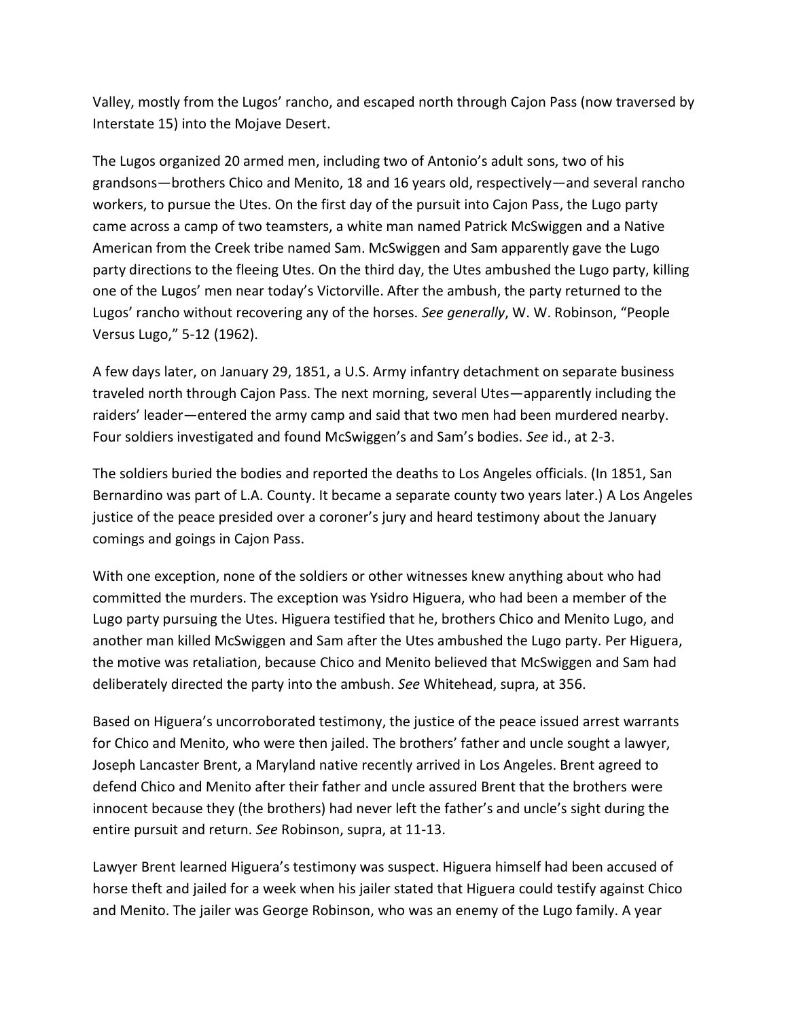Valley, mostly from the Lugos' rancho, and escaped north through Cajon Pass (now traversed by Interstate 15) into the Mojave Desert.

The Lugos organized 20 armed men, including two of Antonio's adult sons, two of his grandsons—brothers Chico and Menito, 18 and 16 years old, respectively—and several rancho workers, to pursue the Utes. On the first day of the pursuit into Cajon Pass, the Lugo party came across a camp of two teamsters, a white man named Patrick McSwiggen and a Native American from the Creek tribe named Sam. McSwiggen and Sam apparently gave the Lugo party directions to the fleeing Utes. On the third day, the Utes ambushed the Lugo party, killing one of the Lugos' men near today's Victorville. After the ambush, the party returned to the Lugos' rancho without recovering any of the horses. *See generally*, W. W. Robinson, "People Versus Lugo," 5-12 (1962).

A few days later, on January 29, 1851, a U.S. Army infantry detachment on separate business traveled north through Cajon Pass. The next morning, several Utes—apparently including the raiders' leader—entered the army camp and said that two men had been murdered nearby. Four soldiers investigated and found McSwiggen's and Sam's bodies. *See* id., at 2-3.

The soldiers buried the bodies and reported the deaths to Los Angeles officials. (In 1851, San Bernardino was part of L.A. County. It became a separate county two years later.) A Los Angeles justice of the peace presided over a coroner's jury and heard testimony about the January comings and goings in Cajon Pass.

With one exception, none of the soldiers or other witnesses knew anything about who had committed the murders. The exception was Ysidro Higuera, who had been a member of the Lugo party pursuing the Utes. Higuera testified that he, brothers Chico and Menito Lugo, and another man killed McSwiggen and Sam after the Utes ambushed the Lugo party. Per Higuera, the motive was retaliation, because Chico and Menito believed that McSwiggen and Sam had deliberately directed the party into the ambush. *See* Whitehead, supra, at 356.

Based on Higuera's uncorroborated testimony, the justice of the peace issued arrest warrants for Chico and Menito, who were then jailed. The brothers' father and uncle sought a lawyer, Joseph Lancaster Brent, a Maryland native recently arrived in Los Angeles. Brent agreed to defend Chico and Menito after their father and uncle assured Brent that the brothers were innocent because they (the brothers) had never left the father's and uncle's sight during the entire pursuit and return. *See* Robinson, supra, at 11-13.

Lawyer Brent learned Higuera's testimony was suspect. Higuera himself had been accused of horse theft and jailed for a week when his jailer stated that Higuera could testify against Chico and Menito. The jailer was George Robinson, who was an enemy of the Lugo family. A year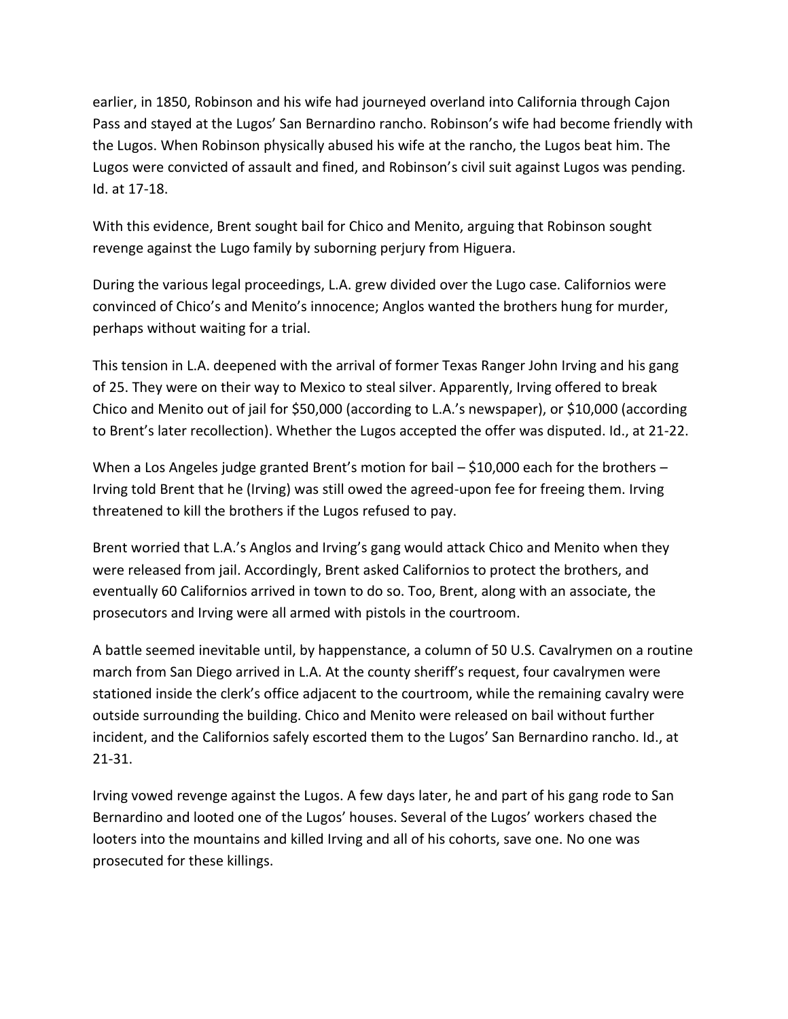earlier, in 1850, Robinson and his wife had journeyed overland into California through Cajon Pass and stayed at the Lugos' San Bernardino rancho. Robinson's wife had become friendly with the Lugos. When Robinson physically abused his wife at the rancho, the Lugos beat him. The Lugos were convicted of assault and fined, and Robinson's civil suit against Lugos was pending. Id. at 17-18.

With this evidence, Brent sought bail for Chico and Menito, arguing that Robinson sought revenge against the Lugo family by suborning perjury from Higuera.

During the various legal proceedings, L.A. grew divided over the Lugo case. Californios were convinced of Chico's and Menito's innocence; Anglos wanted the brothers hung for murder, perhaps without waiting for a trial.

This tension in L.A. deepened with the arrival of former Texas Ranger John Irving and his gang of 25. They were on their way to Mexico to steal silver. Apparently, Irving offered to break Chico and Menito out of jail for \$50,000 (according to L.A.'s newspaper), or \$10,000 (according to Brent's later recollection). Whether the Lugos accepted the offer was disputed. Id., at 21-22.

When a Los Angeles judge granted Brent's motion for bail – \$10,000 each for the brothers – Irving told Brent that he (Irving) was still owed the agreed-upon fee for freeing them. Irving threatened to kill the brothers if the Lugos refused to pay.

Brent worried that L.A.'s Anglos and Irving's gang would attack Chico and Menito when they were released from jail. Accordingly, Brent asked Californios to protect the brothers, and eventually 60 Californios arrived in town to do so. Too, Brent, along with an associate, the prosecutors and Irving were all armed with pistols in the courtroom.

A battle seemed inevitable until, by happenstance, a column of 50 U.S. Cavalrymen on a routine march from San Diego arrived in L.A. At the county sheriff's request, four cavalrymen were stationed inside the clerk's office adjacent to the courtroom, while the remaining cavalry were outside surrounding the building. Chico and Menito were released on bail without further incident, and the Californios safely escorted them to the Lugos' San Bernardino rancho. Id., at 21-31.

Irving vowed revenge against the Lugos. A few days later, he and part of his gang rode to San Bernardino and looted one of the Lugos' houses. Several of the Lugos' workers chased the looters into the mountains and killed Irving and all of his cohorts, save one. No one was prosecuted for these killings.